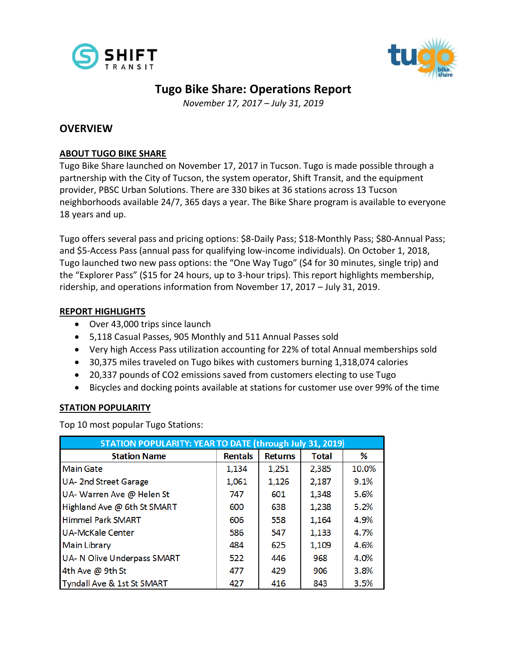



# **Tugo Bike Share: Operations Report**

*November 17, 2017 – July 31, 2019*

# **OVERVIEW**

## **ABOUT TUGO BIKE SHARE**

Tugo Bike Share launched on November 17, 2017 in Tucson. Tugo is made possible through a partnership with the City of Tucson, the system operator, Shift Transit, and the equipment provider, PBSC Urban Solutions. There are 330 bikes at 36 stations across 13 Tucson neighborhoods available 24/7, 365 days a year. The Bike Share program is available to everyone 18 years and up.

Tugo offers several pass and pricing options: \$8-Daily Pass; \$18-Monthly Pass; \$80-Annual Pass; and \$5-Access Pass (annual pass for qualifying low-income individuals). On October 1, 2018, Tugo launched two new pass options: the "One Way Tugo" (\$4 for 30 minutes, single trip) and the "Explorer Pass" (\$15 for 24 hours, up to 3-hour trips). This report highlights membership, ridership, and operations information from November 17, 2017 – July 31, 2019.

## **REPORT HIGHLIGHTS**

- Over 43,000 trips since launch
- 5,118 Casual Passes, 905 Monthly and 511 Annual Passes sold
- Very high Access Pass utilization accounting for 22% of total Annual memberships sold
- 30,375 miles traveled on Tugo bikes with customers burning 1,318,074 calories
- 20,337 pounds of CO2 emissions saved from customers electing to use Tugo
- Bicycles and docking points available at stations for customer use over 99% of the time

## **STATION POPULARITY**

Top 10 most popular Tugo Stations:

| STATION POPULARITY: YEAR TO DATE (through July 31, 2019) |                |                |              |       |  |  |  |  |
|----------------------------------------------------------|----------------|----------------|--------------|-------|--|--|--|--|
| <b>Station Name</b>                                      | <b>Rentals</b> | <b>Returns</b> | <b>Total</b> | %     |  |  |  |  |
| <b>Main Gate</b>                                         | 1,134          | 1,251          | 2,385        | 10.0% |  |  |  |  |
| <b>UA-2nd Street Garage</b>                              | 1,061          | 1,126          | 2,187        | 9.1%  |  |  |  |  |
| UA- Warren Ave @ Helen St                                | 747            | 601            | 1,348        | 5.6%  |  |  |  |  |
| Highland Ave @ 6th St SMART                              | 600            | 638            | 1,238        | 5.2%  |  |  |  |  |
| <b>Himmel Park SMART</b>                                 | 606            | 558            | 1,164        | 4.9%  |  |  |  |  |
| <b>UA-McKale Center</b>                                  | 586            | 547            | 1,133        | 4.7%  |  |  |  |  |
| <b>Main Library</b>                                      | 484            | 625            | 1,109        | 4.6%  |  |  |  |  |
| UA- N Olive Underpass SMART                              | 522            | 446            | 968          | 4.0%  |  |  |  |  |
| 4th Ave @ 9th St                                         | 477            | 429            | 906          | 3.8%  |  |  |  |  |
| Tyndall Ave & 1st St SMART                               | 427            | 416            | 843          | 3.5%  |  |  |  |  |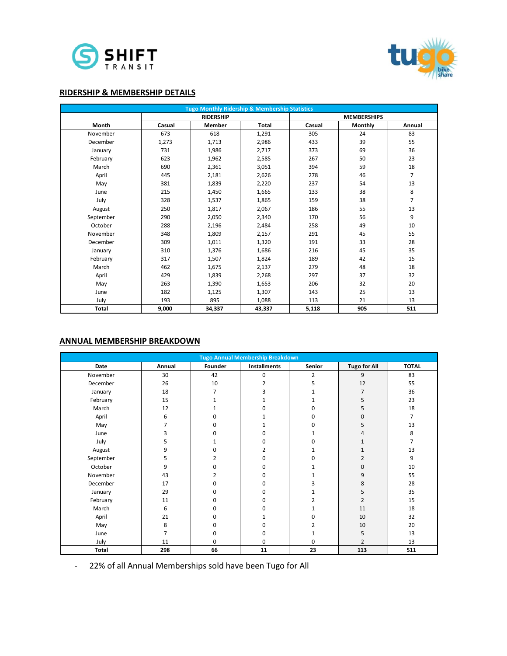



#### **RIDERSHIP & MEMBERSHIP DETAILS**

| <b>Tugo Monthly Ridership &amp; Membership Statistics</b> |        |                  |              |        |                    |                |  |
|-----------------------------------------------------------|--------|------------------|--------------|--------|--------------------|----------------|--|
|                                                           |        | <b>RIDERSHIP</b> |              |        | <b>MEMBERSHIPS</b> |                |  |
| Month                                                     | Casual | Member           | <b>Total</b> | Casual | Monthly            | Annual         |  |
| November                                                  | 673    | 618              | 1,291        | 305    | 24                 | 83             |  |
| December                                                  | 1,273  | 1,713            | 2,986        | 433    | 39                 | 55             |  |
| January                                                   | 731    | 1,986            | 2,717        | 373    | 69                 | 36             |  |
| February                                                  | 623    | 1,962            | 2,585        | 267    | 50                 | 23             |  |
| March                                                     | 690    | 2,361            | 3,051        | 394    | 59                 | 18             |  |
| April                                                     | 445    | 2,181            | 2,626        | 278    | 46                 | $\overline{7}$ |  |
| May                                                       | 381    | 1,839            | 2,220        | 237    | 54                 | 13             |  |
| June                                                      | 215    | 1,450            | 1,665        | 133    | 38                 | 8              |  |
| July                                                      | 328    | 1,537            | 1,865        | 159    | 38                 | $\overline{7}$ |  |
| August                                                    | 250    | 1,817            | 2,067        | 186    | 55                 | 13             |  |
| September                                                 | 290    | 2,050            | 2,340        | 170    | 56                 | 9              |  |
| October                                                   | 288    | 2,196            | 2,484        | 258    | 49                 | 10             |  |
| November                                                  | 348    | 1,809            | 2,157        | 291    | 45                 | 55             |  |
| December                                                  | 309    | 1,011            | 1,320        | 191    | 33                 | 28             |  |
| January                                                   | 310    | 1,376            | 1,686        | 216    | 45                 | 35             |  |
| February                                                  | 317    | 1,507            | 1,824        | 189    | 42                 | 15             |  |
| March                                                     | 462    | 1,675            | 2,137        | 279    | 48                 | 18             |  |
| April                                                     | 429    | 1,839            | 2,268        | 297    | 37                 | 32             |  |
| May                                                       | 263    | 1,390            | 1,653        | 206    | 32                 | 20             |  |
| June                                                      | 182    | 1,125            | 1,307        | 143    | 25                 | 13             |  |
| July                                                      | 193    | 895              | 1,088        | 113    | 21                 | 13             |  |
| <b>Total</b>                                              | 9,000  | 34,337           | 43,337       | 5,118  | 905                | 511            |  |

#### **ANNUAL MEMBERSHIP BREAKDOWN**

| <b>Tugo Annual Membership Breakdown</b> |        |         |                     |        |                     |              |
|-----------------------------------------|--------|---------|---------------------|--------|---------------------|--------------|
| Date                                    | Annual | Founder | <b>Installments</b> | Senior | <b>Tugo for All</b> | <b>TOTAL</b> |
| November                                | 30     | 42      | $\mathbf 0$         | 2      | 9                   | 83           |
| December                                | 26     | 10      | 2                   | 5      | 12                  | 55           |
| January                                 | 18     | 7       |                     |        | $\overline{7}$      | 36           |
| February                                | 15     |         |                     |        | 5                   | 23           |
| March                                   | 12     |         |                     |        | 5                   | 18           |
| April                                   | 6      |         |                     |        | 0                   | 7            |
| May                                     | 7      |         |                     |        | 5                   | 13           |
| June                                    | 3      |         |                     |        |                     | 8            |
| July                                    | 5      |         | ŋ                   |        |                     | 7            |
| August                                  | 9      |         | 2                   |        |                     | 13           |
| September                               | 5      |         | $\Omega$            |        | 2                   | 9            |
| October                                 | 9      | ი       | $\Omega$            |        | $\Omega$            | 10           |
| November                                | 43     |         | $\Omega$            |        | 9                   | 55           |
| December                                | 17     | n       | $\Omega$            |        | 8                   | 28           |
| January                                 | 29     | n       | $\Omega$            |        | 5                   | 35           |
| February                                | 11     | U       | $\Omega$            |        | 2                   | 15           |
| March                                   | 6      | U       | $\Omega$            |        | 11                  | 18           |
| April                                   | 21     | U       |                     | n      | 10                  | 32           |
| May                                     | 8      | ∩       | ŋ                   |        | 10                  | 20           |
| June                                    | 7      | 0       | 0                   |        | 5                   | 13           |
| July                                    | 11     | 0       | 0                   | 0      | 2                   | 13           |
| Total                                   | 298    | 66      | 11                  | 23     | 113                 | 511          |

- 22% of all Annual Memberships sold have been Tugo for All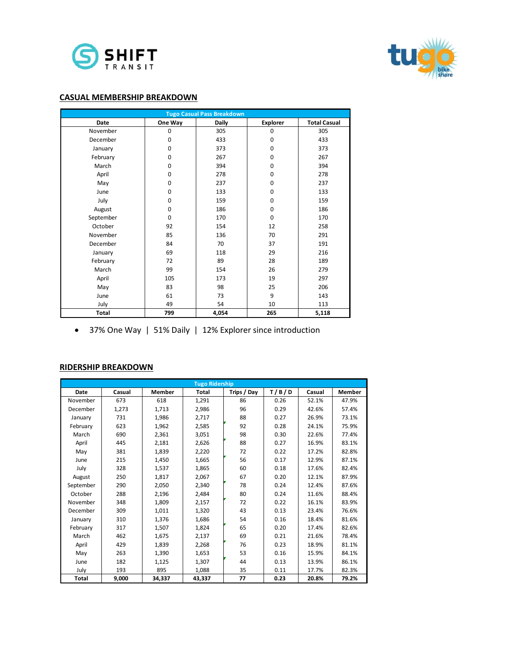



#### **CASUAL MEMBERSHIP BREAKDOWN**

|              |             | <b>Tugo Casual Pass Breakdown</b> |                 |                     |
|--------------|-------------|-----------------------------------|-----------------|---------------------|
| <b>Date</b>  | One Way     | <b>Daily</b>                      | <b>Explorer</b> | <b>Total Casual</b> |
| November     | 0           | 305                               | $\mathbf 0$     | 305                 |
| December     | $\mathbf 0$ | 433                               | $\mathbf 0$     | 433                 |
| January      | 0           | 373                               | $\mathbf 0$     | 373                 |
| February     | 0           | 267                               | $\mathbf 0$     | 267                 |
| March        | 0           | 394                               | $\mathbf 0$     | 394                 |
| April        | 0           | 278                               | $\mathbf 0$     | 278                 |
| May          | 0           | 237                               | $\mathbf 0$     | 237                 |
| June         | 0           | 133                               | $\mathbf 0$     | 133                 |
| July         | $\mathbf 0$ | 159                               | $\mathbf 0$     | 159                 |
| August       | $\mathbf 0$ | 186                               | $\mathbf 0$     | 186                 |
| September    | $\Omega$    | 170                               | $\Omega$        | 170                 |
| October      | 92          | 154                               | 12              | 258                 |
| November     | 85          | 136                               | 70              | 291                 |
| December     | 84          | 70                                | 37              | 191                 |
| January      | 69          | 118                               | 29              | 216                 |
| February     | 72          | 89                                | 28              | 189                 |
| March        | 99          | 154                               | 26              | 279                 |
| April        | 105         | 173                               | 19              | 297                 |
| May          | 83          | 98                                | 25              | 206                 |
| June         | 61          | 73                                | 9               | 143                 |
| July         | 49          | 54                                | 10              | 113                 |
| <b>Total</b> | 799         | 4,054                             | 265             | 5,118               |

37% One Way | 51% Daily | 12% Explorer since introduction

#### **RIDERSHIP BREAKDOWN**

|           | <b>Tugo Ridership</b> |        |        |             |       |        |               |  |  |
|-----------|-----------------------|--------|--------|-------------|-------|--------|---------------|--|--|
| Date      | Casual                | Member | Total  | Trips / Day | T/B/D | Casual | <b>Member</b> |  |  |
| November  | 673                   | 618    | 1,291  | 86          | 0.26  | 52.1%  | 47.9%         |  |  |
| December  | 1,273                 | 1,713  | 2,986  | 96          | 0.29  | 42.6%  | 57.4%         |  |  |
| January   | 731                   | 1,986  | 2,717  | 88          | 0.27  | 26.9%  | 73.1%         |  |  |
| February  | 623                   | 1,962  | 2,585  | 92          | 0.28  | 24.1%  | 75.9%         |  |  |
| March     | 690                   | 2,361  | 3,051  | 98          | 0.30  | 22.6%  | 77.4%         |  |  |
| April     | 445                   | 2,181  | 2,626  | 88          | 0.27  | 16.9%  | 83.1%         |  |  |
| May       | 381                   | 1,839  | 2,220  | 72          | 0.22  | 17.2%  | 82.8%         |  |  |
| June      | 215                   | 1,450  | 1,665  | 56          | 0.17  | 12.9%  | 87.1%         |  |  |
| July      | 328                   | 1,537  | 1,865  | 60          | 0.18  | 17.6%  | 82.4%         |  |  |
| August    | 250                   | 1,817  | 2,067  | 67          | 0.20  | 12.1%  | 87.9%         |  |  |
| September | 290                   | 2,050  | 2,340  | 78          | 0.24  | 12.4%  | 87.6%         |  |  |
| October   | 288                   | 2,196  | 2,484  | 80          | 0.24  | 11.6%  | 88.4%         |  |  |
| November  | 348                   | 1,809  | 2,157  | 72          | 0.22  | 16.1%  | 83.9%         |  |  |
| December  | 309                   | 1,011  | 1,320  | 43          | 0.13  | 23.4%  | 76.6%         |  |  |
| January   | 310                   | 1,376  | 1,686  | 54          | 0.16  | 18.4%  | 81.6%         |  |  |
| February  | 317                   | 1,507  | 1,824  | 65          | 0.20  | 17.4%  | 82.6%         |  |  |
| March     | 462                   | 1,675  | 2,137  | 69          | 0.21  | 21.6%  | 78.4%         |  |  |
| April     | 429                   | 1,839  | 2,268  | 76          | 0.23  | 18.9%  | 81.1%         |  |  |
| May       | 263                   | 1,390  | 1,653  | 53          | 0.16  | 15.9%  | 84.1%         |  |  |
| June      | 182                   | 1,125  | 1,307  | 44          | 0.13  | 13.9%  | 86.1%         |  |  |
| July      | 193                   | 895    | 1,088  | 35          | 0.11  | 17.7%  | 82.3%         |  |  |
| Total     | 9,000                 | 34,337 | 43,337 | 77          | 0.23  | 20.8%  | 79.2%         |  |  |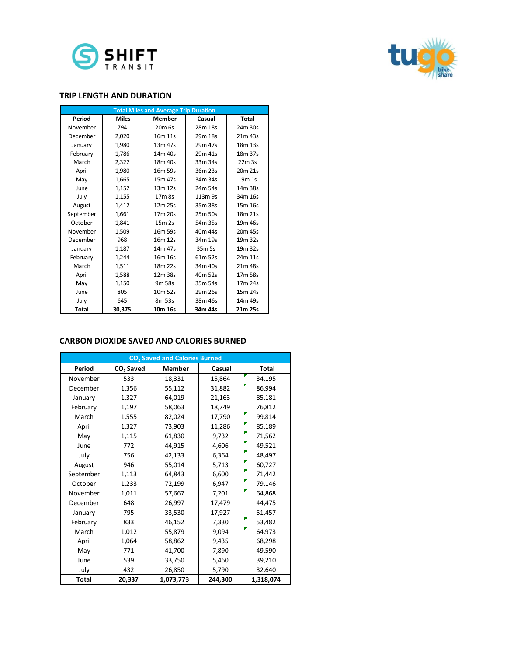



#### **TRIP LENGTH AND DURATION**

| <b>Total Miles and Average Trip Duration</b> |              |                     |         |                     |  |  |
|----------------------------------------------|--------------|---------------------|---------|---------------------|--|--|
| Period                                       | <b>Miles</b> | <b>Member</b>       | Casual  | <b>Total</b>        |  |  |
| November                                     | 794          | $20m$ 6s            | 28m 18s | 24m 30s             |  |  |
| December                                     | 2,020        | 16m 11s             | 29m 18s | 21m 43s             |  |  |
| January                                      | 1,980        | 13m 47s             | 29m 47s | 18 <sub>m</sub> 13s |  |  |
| February                                     | 1,786        | 14m 40s             | 29m 41s | 18m 37s             |  |  |
| March                                        | 2,322        | 18 <sub>m</sub> 40s | 33m 34s | 22m.3s              |  |  |
| April                                        | 1,980        | 16m 59s             | 36m 23s | 20m 21s             |  |  |
| May                                          | 1,665        | 15m 47s             | 34m 34s | 19 <sub>m</sub> 1s  |  |  |
| June                                         | 1,152        | 13m 12s             | 24m 54s | 14m 38s             |  |  |
| July                                         | 1,155        | 17 <sub>m</sub> 8s  | 113m 9s | 34m 16s             |  |  |
| August                                       | 1,412        | 12m 25s             | 35m 38s | 15m 16s             |  |  |
| September                                    | 1,661        | 17m 20s             | 25m 50s | 18m 21s             |  |  |
| October                                      | 1,841        | 15m 2s              | 54m 35s | 19m 46s             |  |  |
| November                                     | 1,509        | 16 <sub>m</sub> 59s | 40m 44s | 20m 45s             |  |  |
| December                                     | 968          | 16 <sub>m</sub> 12s | 34m 19s | 19m 32s             |  |  |
| January                                      | 1,187        | 14m 47s             | 35m 5s  | 19m 32s             |  |  |
| February                                     | 1,244        | 16 <sub>m</sub> 16s | 61m 52s | 24m 11s             |  |  |
| March                                        | 1,511        | 18m 22s             | 34m 40s | 21m 48s             |  |  |
| April                                        | 1,588        | 12m 38s             | 40m 52s | 17m 58s             |  |  |
| May                                          | 1,150        | 9m 58s              | 35m 54s | 17m 24s             |  |  |
| June                                         | 805          | 10 <sub>m</sub> 52s | 29m 26s | 15m 24s             |  |  |
| July                                         | 645          | 8m 53s              | 38m 46s | 14m 49s             |  |  |
| <b>Total</b>                                 | 30.375       | 10m 16s             | 34m 44s | 21m 25s             |  |  |

#### **CARBON DIOXIDE SAVED AND CALORIES BURNED**

|              |                       | CO <sub>2</sub> Saved and Calories Burned |         |              |
|--------------|-----------------------|-------------------------------------------|---------|--------------|
| Period       | CO <sub>2</sub> Saved | <b>Member</b>                             | Casual  | <b>Total</b> |
| November     | 533                   | 18,331                                    | 15,864  | 34,195       |
| December     | 1,356                 | 55,112                                    | 31,882  | 86,994       |
| January      | 1,327                 | 64,019                                    | 21,163  | 85,181       |
| February     | 1,197                 | 58,063                                    | 18,749  | 76,812       |
| March        | 1,555                 | 82,024                                    | 17,790  | 99,814       |
| April        | 1,327                 | 73,903                                    | 11,286  | 85,189       |
| May          | 1,115                 | 61,830                                    | 9,732   | 71,562       |
| June         | 772                   | 44,915                                    | 4,606   | 49,521       |
| July         | 756                   | 42,133                                    | 6,364   | 48,497       |
| August       | 946                   | 55,014                                    | 5,713   | 60,727       |
| September    | 1,113                 | 64,843                                    | 6,600   | 71,442       |
| October      | 1,233                 | 72,199                                    | 6,947   | 79,146       |
| November     | 1,011                 | 57,667                                    | 7,201   | 64,868       |
| December     | 648                   | 26,997                                    | 17,479  | 44,475       |
| January      | 795                   | 33,530                                    | 17,927  | 51,457       |
| February     | 833                   | 46,152                                    | 7,330   | 53,482       |
| March        | 1,012                 | 55,879                                    | 9,094   | 64,973       |
| April        | 1,064                 | 58,862                                    | 9,435   | 68,298       |
| May          | 771                   | 41,700                                    | 7,890   | 49,590       |
| June         | 539                   | 33,750                                    | 5,460   | 39,210       |
| July         | 432                   | 26,850                                    | 5,790   | 32,640       |
| <b>Total</b> | 20.337                | 1,073,773                                 | 244.300 | 1,318,074    |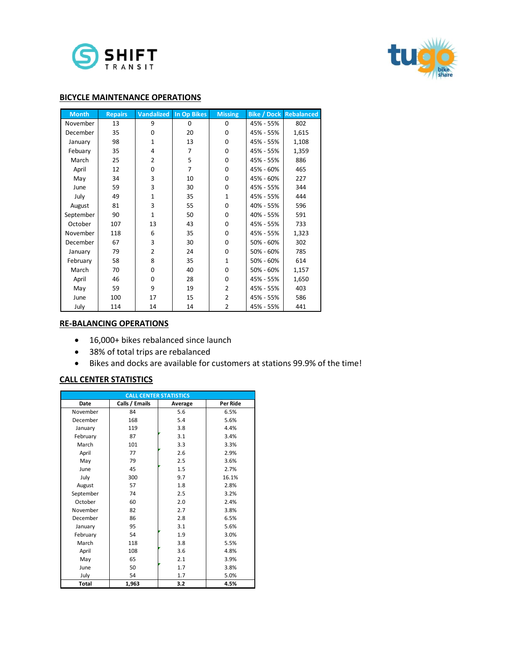



#### **BICYCLE MAINTENANCE OPERATIONS**

| <b>Month</b> | <b>Repairs</b> |              | <b>Vandalized</b> In Op Bikes | <b>Missing</b> | <b>Bike / Dock</b> | <b>Rebalanced</b> |
|--------------|----------------|--------------|-------------------------------|----------------|--------------------|-------------------|
| November     | 13             | 9            | 0                             | 0              | 45% - 55%          | 802               |
| December     | 35             | 0            | 20                            | 0              | 45% - 55%          | 1,615             |
| January      | 98             | $\mathbf{1}$ | 13                            | $\Omega$       | 45% - 55%          | 1,108             |
| Febuary      | 35             | 4            | 7                             | 0              | 45% - 55%          | 1,359             |
| March        | 25             | 2            | 5                             | 0              | 45% - 55%          | 886               |
| April        | 12             | $\Omega$     | 7                             | 0              | 45% - 60%          | 465               |
| May          | 34             | 3            | 10                            | 0              | 45% - 60%          | 227               |
| June         | 59             | 3            | 30                            | 0              | 45% - 55%          | 344               |
| July         | 49             | $\mathbf{1}$ | 35                            | 1              | 45% - 55%          | 444               |
| August       | 81             | 3            | 55                            | 0              | 40% - 55%          | 596               |
| September    | 90             | 1            | 50                            | 0              | 40% - 55%          | 591               |
| October      | 107            | 13           | 43                            | $\Omega$       | 45% - 55%          | 733               |
| November     | 118            | 6            | 35                            | 0              | 45% - 55%          | 1,323             |
| December     | 67             | 3            | 30                            | 0              | 50% - 60%          | 302               |
| January      | 79             | 2            | 24                            | 0              | $50\% - 60\%$      | 785               |
| February     | 58             | 8            | 35                            | $\mathbf{1}$   | 50% - 60%          | 614               |
| March        | 70             | $\Omega$     | 40                            | 0              | 50% - 60%          | 1,157             |
| April        | 46             | $\Omega$     | 28                            | 0              | 45% - 55%          | 1,650             |
| May          | 59             | 9            | 19                            | 2              | 45% - 55%          | 403               |
| June         | 100            | 17           | 15                            | $\overline{2}$ | 45% - 55%          | 586               |
| July         | 114            | 14           | 14                            | $\overline{2}$ | 45% - 55%          | 441               |

#### **RE-BALANCING OPERATIONS**

- 16,000+ bikes rebalanced since launch
- 38% of total trips are rebalanced
- Bikes and docks are available for customers at stations 99.9% of the time!

## **CALL CENTER STATISTICS**

|              |                | <b>CALL CENTER STATISTICS</b> |          |
|--------------|----------------|-------------------------------|----------|
| <b>Date</b>  | Calls / Emails | Average                       | Per Ride |
| November     | 84             | 5.6                           | 6.5%     |
| December     | 168            | 5.4                           | 5.6%     |
| January      | 119            | 3.8                           | 4.4%     |
| February     | 87             | 3.1                           | 3.4%     |
| March        | 101            | 3.3                           | 3.3%     |
| April        | 77             | 2.6                           | 2.9%     |
| May          | 79             | 2.5                           | 3.6%     |
| June         | 45             | 1.5                           | 2.7%     |
| July         | 300            | 9.7                           | 16.1%    |
| August       | 57             | 1.8                           | 2.8%     |
| September    | 74             | 2.5                           | 3.2%     |
| October      | 60             | 2.0                           | 2.4%     |
| November     | 82             | 2.7                           | 3.8%     |
| December     | 86             | 2.8                           | 6.5%     |
| January      | 95             | 3.1                           | 5.6%     |
| February     | 54             | 1.9                           | 3.0%     |
| March        | 118            | 3.8                           | 5.5%     |
| April        | 108            | 3.6                           | 4.8%     |
| May          | 65             | 2.1                           | 3.9%     |
| June         | 50             | 1.7                           | 3.8%     |
| July         | 54             | 1.7                           | 5.0%     |
| <b>Total</b> | 1,963          | 3.2                           | 4.5%     |